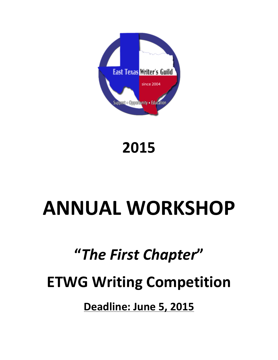

# **2015**

# **ANNUAL WORKSHOP**

## **"***The First Chapter***"**

# **ETWG Writing Competition**

**Deadline: June 5, 2015**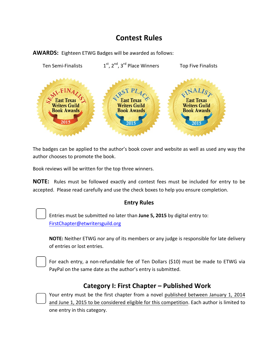### **Contest Rules**



**AWARDS:** Eighteen ETWG Badges will be awarded as follows:

The badges can be applied to the author's book cover and website as well as used any way the author chooses to promote the book.

Book reviews will be written for the top three winners.

**NOTE:** Rules must be followed exactly and contest fees must be included for entry to be accepted. Please read carefully and use the check boxes to help you ensure completion.

#### **Entry Rules**

Entries must be submitted no later than June 5, 2015 by digital entry to: FirstChapter@etwritersguild.org

**NOTE:** Neither ETWG nor any of its members or any judge is responsible for late delivery of entries or lost entries.

For each entry, a non-refundable fee of Ten Dollars (\$10) must be made to ETWG via PayPal on the same date as the author's entry is submitted.

### **Category I: First Chapter – Published Work**

Your entry must be the first chapter from a novel published between January 1, 2014 and June 1, 2015 to be considered eligible for this competition. Each author is limited to one entry in this category.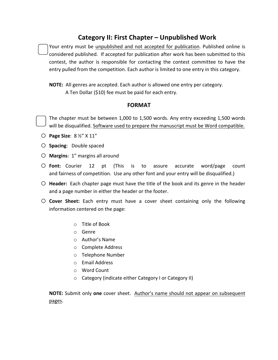### **Category II: First Chapter – Unpublished Work**

Your entry must be unpublished and not accepted for publication. Published online is considered published. If accepted for publication after work has been submitted to this contest, the author is responsible for contacting the contest committee to have the entry pulled from the competition. Each author is limited to one entry in this category.

**NOTE:** All genres are accepted. Each author is allowed one entry per category. A Ten Dollar (\$10) fee must be paid for each entry.

#### **FORMAT**

The chapter must be between  $1,000$  to  $1,500$  words. Any entry exceeding  $1,500$  words will be disqualified. Software used to prepare the manuscript must be Word compatible.

- o **Page Size**: 8 ½" X 11"
- O **Spacing**: Double spaced
- $\bigcirc$  **Margins**: 1" margins all around
- O Font: Courier 12 pt (This is to assure accurate word/page count and fairness of competition. Use any other font and your entry will be disqualified.)
- $\circ$  **Header:** Each chapter page must have the title of the book and its genre in the header and a page number in either the header or the footer.
- O **Cover Sheet:** Each entry must have a cover sheet containing only the following information centered on the page:
	- $\circ$  Title of Book
	- o Genre
	- $\circ$  Author's Name
	- o Complete Address
	- o Telephone Number
	- o Email Address
	- o Word Count
	- o Category (indicate either Category I or Category II)

**NOTE:** Submit only one cover sheet. Author's name should not appear on subsequent pages.